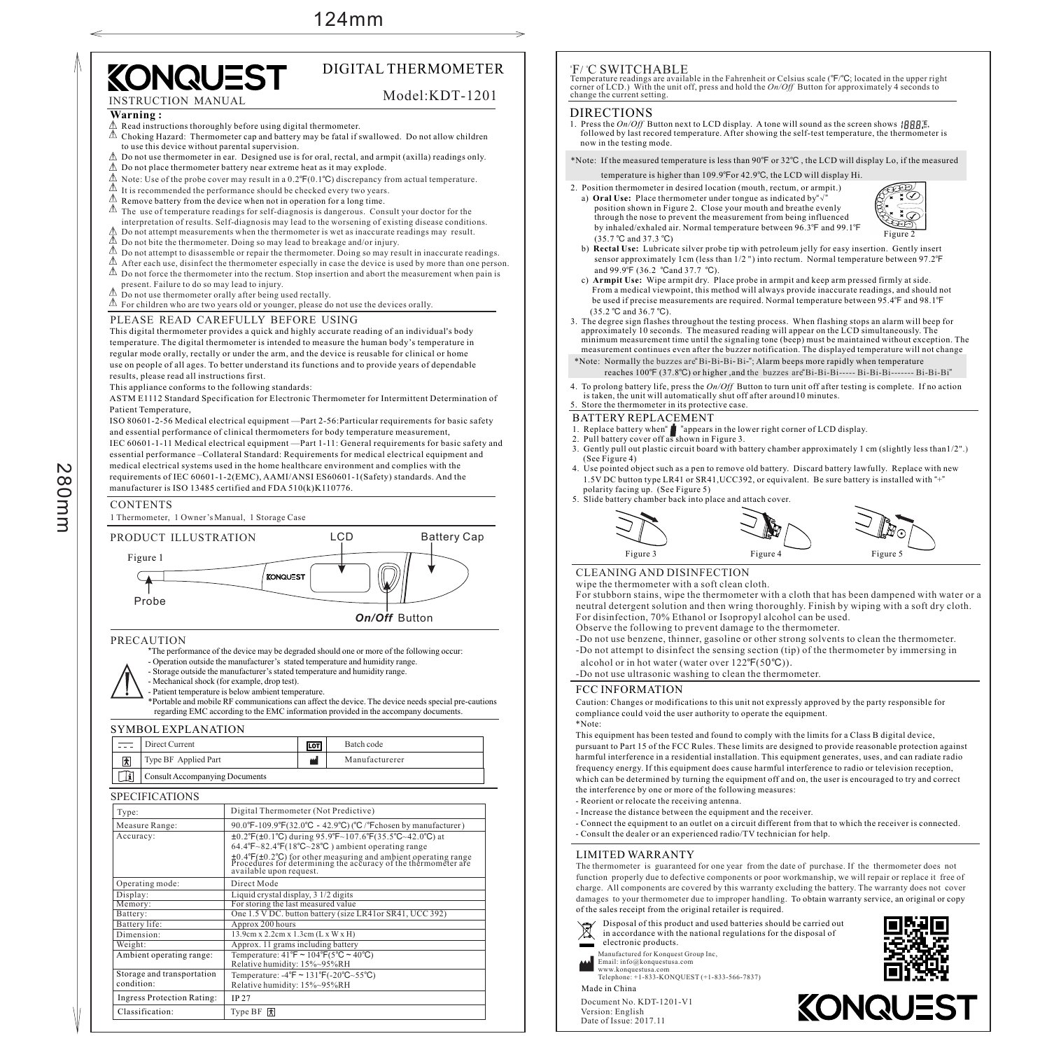Model:KDT-1201

# **KONQUEST** DIGITAL THERMOMETER

### INSTRUCTION MANUAL

#### **Warning :**

- Read instructions thoroughly before using digital thermometer.
- $\triangle$  Choking Hazard: Thermometer cap and battery may be fatal if swallowed. Do not allow children to use this device without parental supervision.
- $\triangle$  Do not use thermometer in ear. Designed use is for oral, rectal, and armpit (axilla) readings only.
- $\triangle$  Do not place thermometer battery near extreme heat as it may explode
- $\triangle$  Note: Use of the probe cover may result in a 0.2°F(0.1°C) discrepancy from actual temperature.
- $\triangle$  It is recommended the performance should be checked every two years.
- $\triangle$  Remove battery from the device when not in operation for a long time.
- $\triangle$  The use of temperature readings for self-diagnosis is dangerous. Consult your doctor for the
- interpretation of results. Self-diagnosis may lead to the worsening of existing disease conditions.  $\triangle$  Do not attempt measurements when the thermometer is wet as inaccurate readings may result.
- $\stackrel{\wedge}{\longrightarrow}$  Do not bite the thermometer. Doing so may lead to breakage and/or injury.
- $\triangle$  Do not attempt to disassemble or repair the thermometer. Doing so may result in inaccurate readings.
- $\triangle$  After each use, disinfect the thermometer especially in case the device is used by more than one person.
- $\triangle$  Do not force the thermometer into the rectum. Stop insertion and abort the measurement when pain is present. Failure to do so may lead to injury.
- $\triangle$  Do not use thermometer orally after being used rectally.
- $\mathbb A$  For children who are two years old or younger, please do not use the devices orally.

PLEASE READ CAREFULLY BEFORE USING

This digital thermometer provides a quick and highly accurate reading of an individual's body temperature. The digital thermometer is intended to measure the human body's temperature in regular mode orally, rectally or under the arm, and the device is reusable for clinical or home use on people of all ages. To better understand its functions and to provide years of dependable results, please read all instructions first.

This appliance conforms to the following standards:

ASTM E1112 Standard Specification for Electronic Thermometer for Intermittent Determination of Patient Temperature,

ISO 80601-2-56 Medical electrical equipment —Part 2-56:Particular requirements for basic safety and essential performance of clinical thermometers for body temperature measurement, IEC 60601-1-11 Medical electrical equipment —Part 1-11: General requirements for basic safety and essential performance –Collateral Standard: Requirements for medical electrical equipment and medical electrical systems used in the home healthcare environment and complies with the requirements of IEC 60601-1-2(EMC), AAMI/ANSI ES60601-1(Safety) standards. And the manufacturer is ISO 13485 certified and FDA 510(k)K110776.

#### CONTENTS

 $\boldsymbol{\mathsf{N}}$  $\infty$  $\circ$  $\exists$  $\exists$ 

1 Thermometer, 1 Owner'sManual, 1 Storage Case



#### PRECAUTION

\*The performance of the device may be degraded should one or more of the following occur:

- Operation outside the manufacturer's stated temperature and humidity range.
- Storage outside the manufacturer's stated temperature and humidity range.

- Mechanical shock (for example, drop test).

- Patient temperature is below ambient temperature.

\*Portable and mobile RF communications can affect the device. The device needs special pre-cautions regarding EMC according to the EMC information provided in the accompany documents.

#### SYMBOL EXPLANATION

|  | Direct Current                 | LOT   | Batch code     |
|--|--------------------------------|-------|----------------|
|  | Type BF Applied Part           | النمم | Manufacturerer |
|  | Consult Accompanying Documents |       |                |

#### SPECIFIC ATIOMS

| Type:                                    | Digital Thermometer (Not Predictive)                                                                                                                                                                                                                                                                                                      |  |
|------------------------------------------|-------------------------------------------------------------------------------------------------------------------------------------------------------------------------------------------------------------------------------------------------------------------------------------------------------------------------------------------|--|
| Measure Range:                           | 90.0°F-109.9°F(32.0°C - 42.9°C) (°C /°Fchosen by manufacturer)                                                                                                                                                                                                                                                                            |  |
| Accuracy:                                | $\pm 0.2^{\circ}F(\pm 0.1^{\circ}C)$ during 95.9°F~107.6°F(35.5°C~42.0°C) at<br>$64.4^{\circ}F~82.4^{\circ}F(18^{\circ}C~28^{\circ}C)$ ambient operating range<br>$\pm 0.4$ $\pm$ $(0.2$ °C) for other measuring and ambient operating range<br>Procedures for determining the accuracy of the thermometer are<br>available upon request. |  |
| Operating mode:                          | Direct Mode                                                                                                                                                                                                                                                                                                                               |  |
| Display:                                 | Liquid crystal display, 3 1/2 digits                                                                                                                                                                                                                                                                                                      |  |
| Memory:                                  | For storing the last measured value                                                                                                                                                                                                                                                                                                       |  |
| Battery:                                 | One 1.5 V DC. button battery (size LR41or SR41, UCC 392)                                                                                                                                                                                                                                                                                  |  |
| Battery life:                            | Approx 200 hours                                                                                                                                                                                                                                                                                                                          |  |
| Dimension:                               | 13.9cm x 2.2cm x 1.3cm (L x W x H)                                                                                                                                                                                                                                                                                                        |  |
| Weight:                                  | Approx. 11 grams including battery                                                                                                                                                                                                                                                                                                        |  |
| Ambient operating range:                 | Temperature: $41^{\circ}F \sim 104^{\circ}F(5^{\circ}C \sim 40^{\circ}C)$<br>Relative humidity: 15%~95%RH                                                                                                                                                                                                                                 |  |
| Storage and transportation<br>condition: | Temperature: $-4^{\circ}F \sim 131^{\circ}F(-20^{\circ}C \sim 55^{\circ}C)$<br>Relative humidity: 15%~95%RH                                                                                                                                                                                                                               |  |
| <b>Ingress Protection Rating:</b>        | <b>IP 27</b>                                                                                                                                                                                                                                                                                                                              |  |
| Classification:                          | Type BF $ \vec{x} $                                                                                                                                                                                                                                                                                                                       |  |

#### 'F/ °C SWITCHABLE

Temperature readings are available in the Fahrenheit or Celsius scale (℉/℃; located in the upper right corner of LCD.) With the unit off, press and hold the *On/Off* Button for approximately 4 seconds to change the current setting.

#### DIRECTIONS

- followed by last recored temperature. After showing the self-test temperature, the thermometer is  $\frac{1}{2}$  now in the testing mode. 1. Press the *On/Off* Button next to LCD display. A tone will sound as the screen shows  ${BBB}^{\text{re}}_{m}$ .
- \*Note: If the measured temperature is less than  $90^{\circ}$ F or  $32^{\circ}$ C, the LCD will display Lo, if the measured
- temperature is higher than 109.9°For 42.9°C, the LCD will display Hi.
- 2. Position thermometer in desired location (mouth, rectum, or armpit.) a) **Oral Use:** Place thermometer under tongue as indicated by"√" position shown in Figure 2. Close your mouth and breathe evenly through the nose to prevent the measurement from being influenced by inhaled/exhaled air. Normal temperature between 96.3°F and 99.1°F  $(35.7 \degree C \text{ and } 37.3 \degree C)$



- b) **Rectal Use:** Lubricate silver probe tip with petroleum jelly for easy insertion. Gently insert sensor approximately 1cm (less than  $1/2$  ") into rectum. Normal temperature between 97.2 $\degree$ F and 99.9°F (36.2 °Cand 37.7 °C).
- c) **Armpit Use:** Wipe armpit dry. Place probe in armpit and keep arm pressed firmly at side. From a medical viewpoint, this method will always provide inaccurate readings, and should not be used if precise measurements are required. Normal temperature between 95.4°F and 98.1°F  $(35.2 \text{ °C} \text{ and } 36.7 \text{ °C}).$
- 3. The degree sign flashes throughout the testing process. When flashing stops an alarm will beep for approximately 10 seconds. The measured reading will appear on the LCD simultaneously. The minimum measurement time until the signaling tone (beep) must be maintained without exception. The measurement continues even after the buzzer notification. The displayed temperature will not change
- \*Note: Normally the buzzes are "Bi-Bi-Bi-Bi-"; Alarm beeps more rapidly when temperature reaches  $100^{\circ}F(37.8^{\circ}C)$  or higher, and the buzzes are Bi-Bi-Bi------ Bi-Bi-Bi------- Bi-Bi-Bi<sup>-</sup>Bi
- 4. To prolong battery life, press the *On/Off* Button to turn unit off after testing is complete. If no action is taken, the unit will automatically shut off after around10 minutes.

#### 5. Store the thermometer in its protective case.

#### BATTERY REPLACEMENT

- 1. Replace battery when  $\blacksquare$  "appears in the lower right corner of LCD display. " "
- 2. Pull battery cover off as shown in Figure 3.
- 3. Gently pull out plastic circuit board with battery chamber approximately 1 cm (slightly less than1/2 ".) (See Figure 4)
- 4. Use pointed object such as a pen to remove old battery. Discard battery lawfully. Replace with new 1.5V DC button type LR41 or SR41, UCC392, or equivalent. Be sure battery is installed with "+" polarity facing up. (See Figure 5)
- polarity facing up. (See Figure 5)<br>5. Slide battery chamber back into place and attach cover.







wipe the thermometer with a soft clean cloth.

For stubborn stains, wipe the thermometer with a cloth that has been dampened with water or a neutral detergent solution and then wring thoroughly. Finish by wiping with a soft dry cloth. For disinfection, 70% Ethanol or Isopropyl alcohol can be used.

Observe the following to prevent damage to the thermometer.

- -Do not use benzene, thinner, gasoline or other strong solvents to clean the thermometer. -Do not attempt to disinfect the sensing section (tip) of the thermometer by immersing in alcohol or in hot water (water over  $122^{\circ}F(50^{\circ}C)$ ).
- -Do not use ultrasonic washing to clean the thermometer.

#### FCC INFORMATION

Caution: Changes or modifications to this unit not expressly approved by the party responsible for compliance could void the user authority to operate the equipment.

\*Note:

This equipment has been tested and found to comply with the limits for a Class B digital device, pursuant to Part 15 of the FCC Rules. These limits are designed to provide reasonable protection against harmful interference in a residential installation. This equipment generates, uses, and can radiate radio frequency energy. If this equipment does cause harmful interference to radio or television reception, which can be determined by turning the equipment off and on, the user is encouraged to try and correct the interference by one or more of the following measures:

- Reorient or relocate the receiving antenna.
- Increase the distance between the equipment and the receiver. - Connect the equipment to an outlet on a circuit different from that to which the receiver is connected.
- Consult the dealer or an experienced radio/TV technician for help.

#### LIMITED WARRANTY

The thermometer is guaranteed for one year from the date of purchase. If the thermometer does not function properly due to defective components or poor workmanship, we will repair or replace it free of charge. All components are covered by this warranty excluding the battery. The warranty does not cover damages to your thermometer due to improper handling. To obtain warranty service, an original or copy of the sales receipt from the original retailer is required.



Version: English Date of Issue: 2017.11

Made in China Manufactured for Konquest Group Inc, Email: info@konquestusa.com www.konquestusa.com Telephone: +1-833-KONQUEST (+1-833-566-7837)